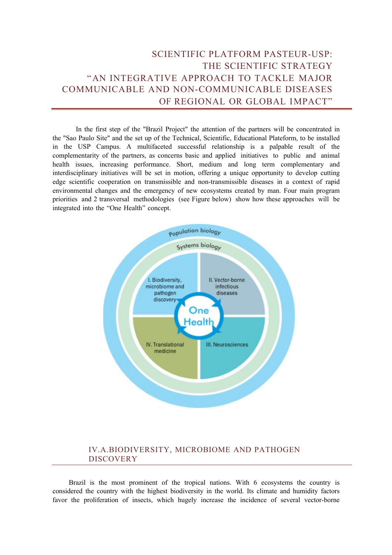# SCIENTIFIC PLATFORM PASTEUR-USP: THE SCIENTIFIC STRATEGY "AN INTEGRATIVE APPROACH TO TACKLE MAJOR COMMUNICABLE AND NON-COMMUNICABLE DISEASES OF REGIONAL OR GLOBAL IMPACT"

In the first step of the "Brazil Project" the attention of the partners will be concentrated in the "Sao Paulo Site" and the set up of the Technical, Scientific, Educational Plateform, to be installed in the USP Campus. A multifaceted successful relationship is a palpable result of the complementarity of the partners, as concerns basic and applied initiatives to public and animal health issues, increasing performance. Short, medium and long term complementary and interdisciplinary initiatives will be set in motion, offering a unique opportunity to develop cutting edge scientific cooperation on transmissible and non-transmissible diseases in a context of rapid environmental changes and the emergency of new ecosystems created by man. Four main program priorities and 2 transversal methodologies (see Figure below) show how these approaches will be integrated into the "One Health" concept.



## IV.A.BIODIVERSITY, MICROBIOME AND PATHOGEN **DISCOVERY**

Brazil is the most prominent of the tropical nations. With 6 ecosystems the country is considered the country with the highest biodiversity in the world. Its climate and humidity factors favor the proliferation of insects, which hugely increase the incidence of several vector-borne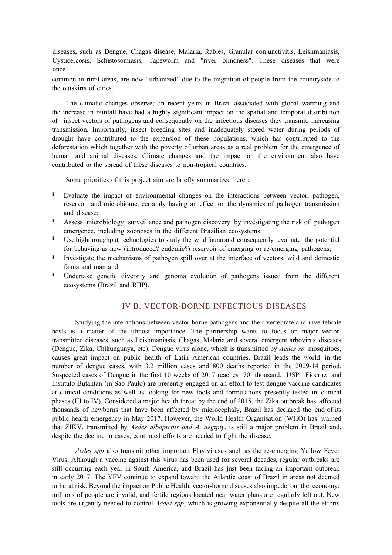diseases, such as Dengue, Chagas disease, Malaria, Rabies, Granular conjunctivitis, Leishmaniasis, Cysticercosis, Schistosomiasis, Tapeworm and "river blindness". These diseases that were once

common in rural areas, are now "urbanized" due to the migration of people from the countryside to the outskirts of cities.

The climatic changes observed in recent years in Brazil associated with global warming and the increase in rainfall have had a highly significant impact on the spatial and temporal distribution of insect vectors of pathogens and consequently on the infectious diseases they transmit, increasing transmission. Importantly, insect breeding sites and inadequately stored water during periods of drought have contributed to the expansion of these populations, which has contributed to the deforestation which together with the poverty of urban areas as a real problem for the emergence of human and animal diseases. Climate changes and the impact on the environment also have contributed to the spread of these diseases to non-tropical countries.

Some priorities of this project aim are briefly summarized here :

- Evaluate the impact of environmental changes on the interactions between vector, pathogen, reservoir and microbiome, certainly having an effect on the dynamics of pathogen transmission and disease;
- Assess microbiology surveillance and pathogen discovery by investigating the risk of pathogen emergence, including zoonoses in the different Brazilian ecosystems;
- Use highthroughput technologies to study the wild fauna and consequently evaluate the potential for behaving as new (introduced? endemic?) reservoir of emerging or re-emerging pathogens;
- Investigate the mechanisms of pathogen spill over at the interface of vectors, wild and domestic fauna and man and
- Undertake genetic diversity and genoma evolution of pathogens issued from the different ecosystems (Brazil and RIIP).

#### IV.B. VECTOR-BORNE INFECTIOUS DISEASES

Studying the interactions between vector-borne pathogens and their vertebrate and invertebrate hosts is a matter of the utmost importance. The partnership wants to focus on major vectortransmitted diseases, such as Leishmaniasis, Chagas, Malaria and several emergent arbovirus diseases (Dengue, Zika, Chikungunya, etc). Dengue virus alone, which is transmitted by *Aedes sp* mosquitoes, causes great impact on public health of Latin American countries. Brazil leads the world in the number of dengue cases, with 3.2 million cases and 800 deaths reported in the 2009-14 period. Suspected cases of Dengue in the first 10 weeks of 2017 reaches 70 thousand. USP, Fiocruz and Instituto Butantan (in Sao Paulo) are presently engaged on an effort to test dengue vaccine candidates at clinical conditions as well as looking for new tools and formulations presently tested in clinical phases (III to IV). Considered a major health threat by the end of 2015, the Zika outbreak has affected thousands of newborns that have been affected by microcephaly, Brazil has declared the end of its public health emergency in May 2017. However, the World Health Organisation (WHO) has warned that ZIKV, transmitted by *Aedes albopictus and A. aegipty*, is still a major problem in Brazil and, despite the decline in cases, continued efforts are needed to fight the disease.

*Aedes spp* also transmit other important Flaviviruses such as the re-emerging Yellow Fever Virus**.** Although a vaccine against this virus has been used for several decades, regular outbreaks are still occurring each year in South America, and Brazil has just been facing an important outbreak in early 2017. The YFV continue to expand toward the Atlantic coast of Brazil in areas not deemed to be at risk. Beyond the impact on Public Health, vector-borne diseases also impede on the economy: millions of people are invalid, and fertile regions located near water plans are regularly left out. New tools are urgently needed to control *Aedes spp*, which is growing exponentially despite all the efforts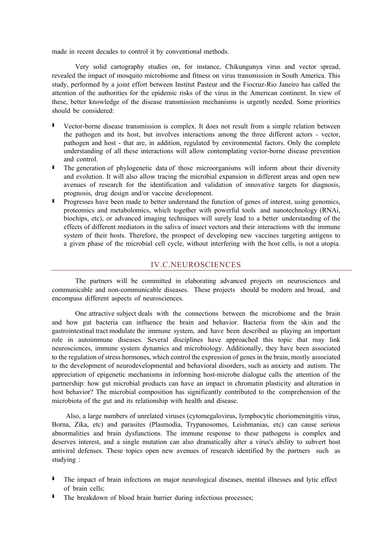made in recent decades to control it by conventional methods.

Very solid cartography studies on, for instance, Chikungunya virus and vector spread, revealed the impact of mosquito microbiome and fitness on virus transmission in South America. This study, performed by a joint effort between Institut Pasteur and the Fiocruz-Rio Janeiro has called the attention of the authorities for the epidemic risks of the virus in the American continent. In view of these, better knowledge of the disease transmission mechanisms is urgently needed. Some priorities should be considered:

- Vector-borne disease transmission is complex. It does not result from a simple relation between the pathogen and its host, but involves interactions among the three different actors - vector, pathogen and host - that are, in addition, regulated by environmental factors. Only the complete understanding of all these interactions will allow contemplating vector-borne disease prevention and control.
- The generation of phylogenetic data of those microorganisms will inform about their diversity and evolution. It will also allow tracing the microbial expansion in different areas and open new avenues of research for the identification and validation of innovative targets for diagnosis, prognosis, drug design and/or vaccine development.
- Progresses have been made to better understand the function of genes of interest, using genomics, proteomics and metabolomics, which together with powerful tools and nanotechnology (RNAi, biochips, etc), or advanced imaging techniques will surely lead to a better understanding of the effects of different mediators in the saliva of insect vectors and their interactions with the immune system of their hosts. Therefore, the prospect of developing new vaccines targeting antigens to a given phase of the microbial cell cycle, without interfering with the host cells, is not a utopia.

#### IV.C.NEUROSCIENCES

The partners will be committed in elaborating advanced projects on neurosciences and communicable and non-communicable diseases. These projects should be modern and broad, and encompass different aspects of neurosciences.

One attractive subject deals with the connections between the microbiome and the brain and how gut bacteria can influence the brain and behavior. Bacteria from the skin and the gastrointestinal tract modulate the immune system, and have been described as playing an important role in autoimmune diseases. Several disciplines have approached this topic that may link neurosciences, immune system dynamics and microbiology. Additionally, they have been associated to the regulation of stress hormones, which control the expression of genes in the brain, mostly associated to the development of neurodevelopmental and behavioral disorders, such as anxiety and autism. The appreciation of epigenetic mechanisms in informing host-microbe dialogue calls the attention of the partnership: how gut microbial products can have an impact in chromatin plasticity and alteration in host behavior? The microbial composition has significantly contributed to the comprehension of the microbiota of the gut and its relationship with health and disease.

Also, a large numbers of unrelated viruses (cytomegalovirus, lymphocytic choriomeningitis virus, Borna, Zika, etc) and parasites (Plasmodia, Trypanosomes, Leishmanias, etc) can cause serious abnormalities and brain dysfunctions. The immune response to these pathogens is complex and deserves interest, and a single mutation can also dramatically alter a virus's ability to subvert host antiviral defenses. These topics open new avenues of research identified by the partners such as studying :

- The impact of brain infections on major neurological diseases, mental illnesses and lytic effect of brain cells;
- The breakdown of blood brain barrier during infectious processes;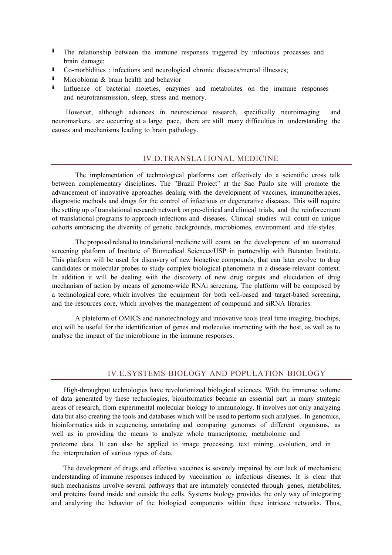- **I** The relationship between the immune responses triggered by infectious processes and brain damage;
- Co-morbidities : infections and neurological chronic diseases/mental illnesses;
- Microbioma  $&$  brain health and behavior
- **I** Influence of bacterial moieties, enzymes and metabolites on the immune responses and neurotransmission, sleep, stress and memory.

However, although advances in neuroscience research, specifically neuroimaging and neuromarkers, are occurring at a large pace, there are still many difficulties in understanding the causes and mechanisms leading to brain pathology.

### IV.D.TRANSLATIONAL MEDICINE

The implementation of technological platforms can effectively do a scientific cross talk between complementary disciplines. The "Brazil Project" at the Sao Paulo site will promote the advancement of innovative approaches dealing with the development of vaccines, immunotherapies, diagnostic methods and drugs for the control of infectious or degenerative diseases. This will require the setting up of translational research network on pre-clinical and clinical trials, and the reinforcement of translational programs to approach infections and diseases. Clinical studies will count on unique cohorts embracing the diversity of genetic backgrounds, microbiomes, environment and life-styles.

The proposal related to translational medicine will count on the development of an automated screening platform of Institute of Biomedical Sciences/USP in partnership with Butantan Institute. This platform will be used for discovery of new bioactive compounds, that can later evolve to drug candidates or molecular probes to study complex biological phenomena in a disease-relevant context. In addition it will be dealing with the discovery of new drug targets and elucidation of drug mechanism of action by means of genome-wide RNAi screening. The platform will be composed by a technological core, which involves the equipment for both cell-based and target-based screening, and the resources core, which involves the management of compound and siRNA libraries.

A plateform of OMICS and nanotechnology and innovative tools (real time imaging, biochips, etc) will be useful for the identification of genes and molecules interacting with the host, as well as to analyse the impact of the microbiome in the immune responses.

#### IV.E.SYSTEMS BIOLOGY AND POPULATION BIOLOGY

High-throughput technologies have revolutionized biological sciences. With the immense volume of data generated by these technologies, bioinformatics became an essential part in many strategic areas of research, from experimental molecular biology to immunology. It involves not only analyzing data but also creating the tools and databases which will be used to perform such analyses. In genomics, bioinformatics aids in sequencing, annotating and comparing genomes of different organisms, as well as in providing the means to analyze whole transcriptome, metabolome and proteome data. It can also be applied to image processing, text mining, evolution, and in the interpretation of various types of data.

The development of drugs and effective vaccines is severely impaired by our lack of mechanistic understanding of immune responses induced by vaccination or infectious diseases. It is clear that such mechanisms involve several pathways that are intimately connected through genes, metabolites, and proteins found inside and outside the cells. Systems biology provides the only way of integrating and analyzing the behavior of the biological components within these intricate networks. Thus,